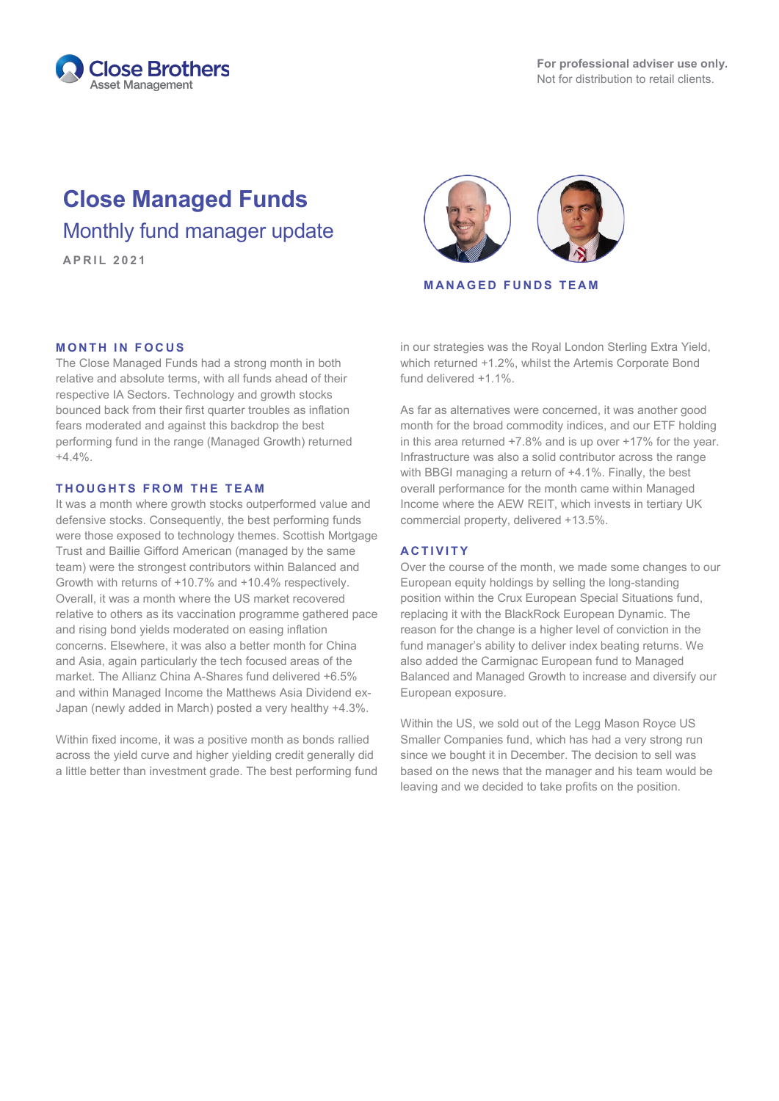

## **Close Managed Funds** Monthly fund manager update

# **APRIL 2021**

**MANAGED FUNDS TEAM**

#### in our strategies was the Royal London Sterling Extra Yield, which returned +1.2%, whilst the Artemis Corporate Bond fund delivered +1.1%.

As far as alternatives were concerned, it was another good month for the broad commodity indices, and our ETF holding in this area returned +7.8% and is up over +17% for the year. Infrastructure was also a solid contributor across the range with BBGI managing a return of +4.1%. Finally, the best overall performance for the month came within Managed Income where the AEW REIT, which invests in tertiary UK commercial property, delivered +13.5%.

### **ACTIVITY**

Over the course of the month, we made some changes to our European equity holdings by selling the long-standing position within the Crux European Special Situations fund, replacing it with the BlackRock European Dynamic. The reason for the change is a higher level of conviction in the fund manager's ability to deliver index beating returns. We also added the Carmignac European fund to Managed Balanced and Managed Growth to increase and diversify our European exposure.

Within the US, we sold out of the Legg Mason Royce US Smaller Companies fund, which has had a very strong run since we bought it in December. The decision to sell was based on the news that the manager and his team would be leaving and we decided to take profits on the position.

#### **MONTH IN FOCUS**

The Close Managed Funds had a strong month in both relative and absolute terms, with all funds ahead of their respective IA Sectors. Technology and growth stocks bounced back from their first quarter troubles as inflation fears moderated and against this backdrop the best performing fund in the range (Managed Growth) returned  $+4.4\%$ 

#### **THOUGHTS FROM THE TEAM**

It was a month where growth stocks outperformed value and defensive stocks. Consequently, the best performing funds were those exposed to technology themes. Scottish Mortgage Trust and Baillie Gifford American (managed by the same team) were the strongest contributors within Balanced and Growth with returns of +10.7% and +10.4% respectively. Overall, it was a month where the US market recovered relative to others as its vaccination programme gathered pace and rising bond yields moderated on easing inflation concerns. Elsewhere, it was also a better month for China and Asia, again particularly the tech focused areas of the market. The Allianz China A-Shares fund delivered +6.5% and within Managed Income the Matthews Asia Dividend ex-Japan (newly added in March) posted a very healthy +4.3%.

Within fixed income, it was a positive month as bonds rallied across the yield curve and higher yielding credit generally did a little better than investment grade. The best performing fund